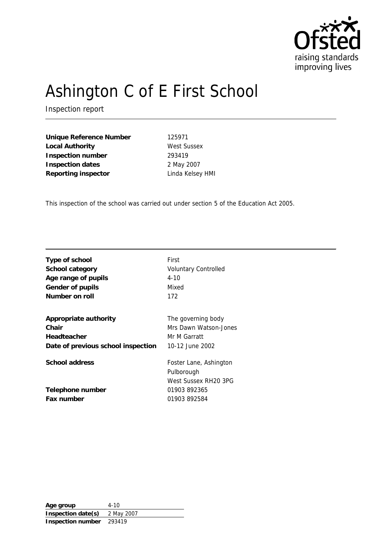

# Ashington C of E First School

Inspection report

**Unique Reference Number** 125971 Local Authority **West Sussex Inspection number** 293419 **Inspection dates** 2 May 2007 **Reporting inspector** Linda Kelsey HMI

This inspection of the school was carried out under section 5 of the Education Act 2005.

| Type of school                     | First                       |
|------------------------------------|-----------------------------|
| School category                    | <b>Voluntary Controlled</b> |
| Age range of pupils                | $4 - 10$                    |
| Gender of pupils                   | Mixed                       |
| Number on roll                     | 172                         |
| Appropriate authority              | The governing body          |
| Chair                              | Mrs Dawn Watson-Jones       |
| Headteacher                        | Mr M Garratt                |
| Date of previous school inspection | 10-12 June 2002             |
| School address                     | Foster Lane, Ashington      |
|                                    | Pulborough                  |
|                                    | West Sussex RH20 3PG        |
| Telephone number                   | 01903 892365                |
| Fax number                         | 01903 892584                |
|                                    |                             |

**Age group** 4-10 **Inspection date(s)** 2 May 2007 **Inspection number** 293419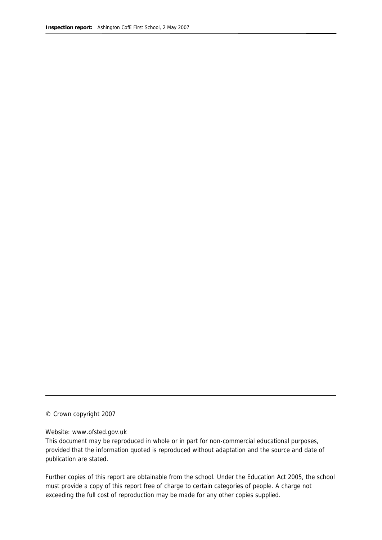© Crown copyright 2007

#### Website: www.ofsted.gov.uk

This document may be reproduced in whole or in part for non-commercial educational purposes, provided that the information quoted is reproduced without adaptation and the source and date of publication are stated.

Further copies of this report are obtainable from the school. Under the Education Act 2005, the school must provide a copy of this report free of charge to certain categories of people. A charge not exceeding the full cost of reproduction may be made for any other copies supplied.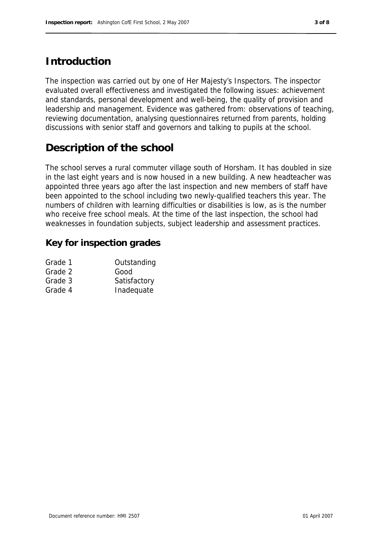# **Introduction**

The inspection was carried out by one of Her Majesty's Inspectors. The inspector evaluated overall effectiveness and investigated the following issues: achievement and standards, personal development and well-being, the quality of provision and leadership and management. Evidence was gathered from: observations of teaching, reviewing documentation, analysing questionnaires returned from parents, holding discussions with senior staff and governors and talking to pupils at the school.

# **Description of the school**

The school serves a rural commuter village south of Horsham. It has doubled in size in the last eight years and is now housed in a new building. A new headteacher was appointed three years ago after the last inspection and new members of staff have been appointed to the school including two newly-qualified teachers this year. The numbers of children with learning difficulties or disabilities is low, as is the number who receive free school meals. At the time of the last inspection, the school had weaknesses in foundation subjects, subject leadership and assessment practices.

### **Key for inspection grades**

| Grade 1 | Outstanding  |
|---------|--------------|
| Grade 2 | Good         |
| Grade 3 | Satisfactory |
| Grade 4 | Inadequate   |
|         |              |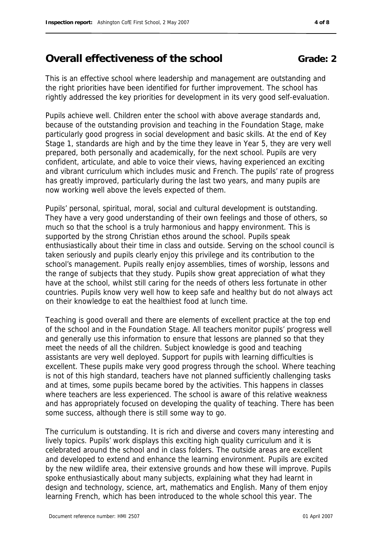### and has appropriately focused on developing the quality of teaching. There has been

The curriculum is outstanding. It is rich and diverse and covers many interesting and lively topics. Pupils' work displays this exciting high quality curriculum and it is celebrated around the school and in class folders. The outside areas are excellent and developed to extend and enhance the learning environment. Pupils are excited by the new wildlife area, their extensive grounds and how these will improve. Pupils spoke enthusiastically about many subjects, explaining what they had learnt in design and technology, science, art, mathematics and English. Many of them enjoy learning French, which has been introduced to the whole school this year. The

# **Overall effectiveness of the school Grade: 2**

This is an effective school where leadership and management are outstanding and the right priorities have been identified for further improvement. The school has rightly addressed the key priorities for development in its very good self-evaluation.

Pupils achieve well. Children enter the school with above average standards and, because of the outstanding provision and teaching in the Foundation Stage, make particularly good progress in social development and basic skills. At the end of Key Stage 1, standards are high and by the time they leave in Year 5, they are very well prepared, both personally and academically, for the next school. Pupils are very confident, articulate, and able to voice their views, having experienced an exciting and vibrant curriculum which includes music and French. The pupils' rate of progress has greatly improved, particularly during the last two years, and many pupils are now working well above the levels expected of them.

Pupils' personal, spiritual, moral, social and cultural development is outstanding. They have a very good understanding of their own feelings and those of others, so much so that the school is a truly harmonious and happy environment. This is supported by the strong Christian ethos around the school. Pupils speak enthusiastically about their time in class and outside. Serving on the school council is taken seriously and pupils clearly enjoy this privilege and its contribution to the school's management. Pupils really enjoy assemblies, times of worship, lessons and the range of subjects that they study. Pupils show great appreciation of what they countries. Pupils know very well how to keep safe and healthy but do not always act

have at the school, whilst still caring for the needs of others less fortunate in other on their knowledge to eat the healthiest food at lunch time. Teaching is good overall and there are elements of excellent practice at the top end of the school and in the Foundation Stage. All teachers monitor pupils' progress well and generally use this information to ensure that lessons are planned so that they meet the needs of all the children. Subject knowledge is good and teaching assistants are very well deployed. Support for pupils with learning difficulties is excellent. These pupils make very good progress through the school. Where teaching

is not of this high standard, teachers have not planned sufficiently challenging tasks and at times, some pupils became bored by the activities. This happens in classes where teachers are less experienced. The school is aware of this relative weakness

some success, although there is still some way to go.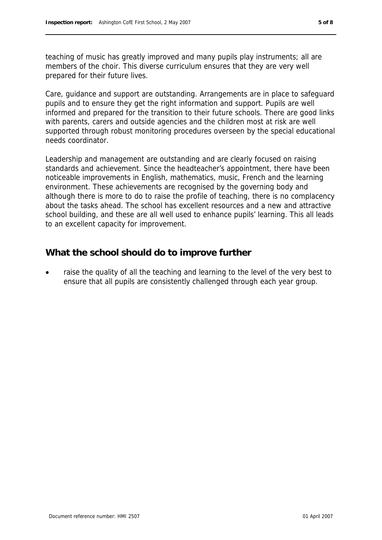teaching of music has greatly improved and many pupils play instruments; all are members of the choir. This diverse curriculum ensures that they are very well prepared for their future lives.

Care, guidance and support are outstanding. Arrangements are in place to safeguard pupils and to ensure they get the right information and support. Pupils are well informed and prepared for the transition to their future schools. There are good links with parents, carers and outside agencies and the children most at risk are well supported through robust monitoring procedures overseen by the special educational needs coordinator.

Leadership and management are outstanding and are clearly focused on raising standards and achievement. Since the headteacher's appointment, there have been noticeable improvements in English, mathematics, music, French and the learning environment. These achievements are recognised by the governing body and although there is more to do to raise the profile of teaching, there is no complacency about the tasks ahead. The school has excellent resources and a new and attractive school building, and these are all well used to enhance pupils' learning. This all leads to an excellent capacity for improvement.

### **What the school should do to improve further**

 raise the quality of all the teaching and learning to the level of the very best to ensure that all pupils are consistently challenged through each year group.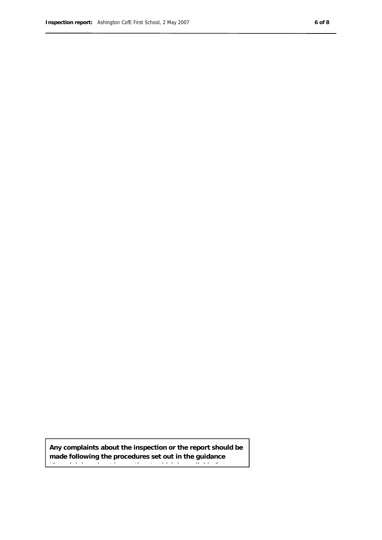**Any complaints about the inspection or the report should be made following the procedures set out in the guidance** 

**'Complaining about inspections', which is available from**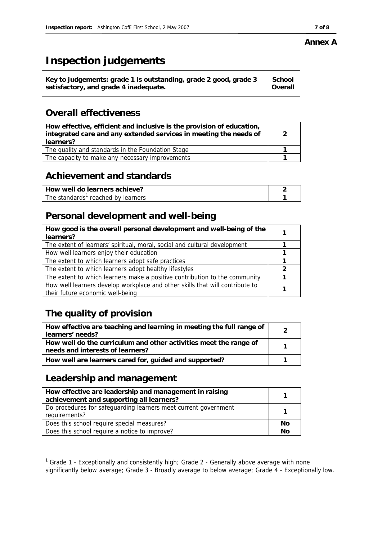# **Inspection judgements**

| School<br>Key to judgements: grade 1 is outstanding, grade 2 good, grade 3<br>Overall<br>satisfactory, and grade 4 inadequate. |  |
|--------------------------------------------------------------------------------------------------------------------------------|--|
|--------------------------------------------------------------------------------------------------------------------------------|--|

# **Overall effectiveness**

| How effective, efficient and inclusive is the provision of education,<br>integrated care and any extended services in meeting the needs of<br>learners? | 2 |
|---------------------------------------------------------------------------------------------------------------------------------------------------------|---|
| The quality and standards in the Foundation Stage                                                                                                       |   |
| The capacity to make any necessary improvements                                                                                                         |   |

# **Achievement and standards**

| How well do learners achieve?      |  |
|------------------------------------|--|
| The standards' reached by learners |  |

# **Personal development and well-being**

| How good is the overall personal development and well-being of the<br>learners? |  |
|---------------------------------------------------------------------------------|--|
| The extent of learners' spiritual, moral, social and cultural development       |  |
| How well learners enjoy their education                                         |  |
| The extent to which learners adopt safe practices                               |  |
| The extent to which learners adopt healthy lifestyles                           |  |
| The extent to which learners make a positive contribution to the community      |  |
| How well learners develop workplace and other skills that will contribute to    |  |
| their future economic well-being                                                |  |

# **The quality of provision**

| How effective are teaching and learning in meeting the full range of<br>learners' needs?              |  |
|-------------------------------------------------------------------------------------------------------|--|
| How well do the curriculum and other activities meet the range of<br>needs and interests of learners? |  |
| How well are learners cared for, guided and supported?                                                |  |

# **Leadership and management**

| How effective are leadership and management in raising<br>achievement and supporting all learners? |           |
|----------------------------------------------------------------------------------------------------|-----------|
| Do procedures for safeguarding learners meet current government<br>requirements?                   |           |
| Does this school require special measures?                                                         | No        |
| Does this school require a notice to improve?                                                      | <b>Nc</b> |

 1 Grade 1 - Exceptionally and consistently high; Grade 2 - Generally above average with none

### **Annex A**

significantly below average; Grade 3 - Broadly average to below average; Grade 4 - Exceptionally low.